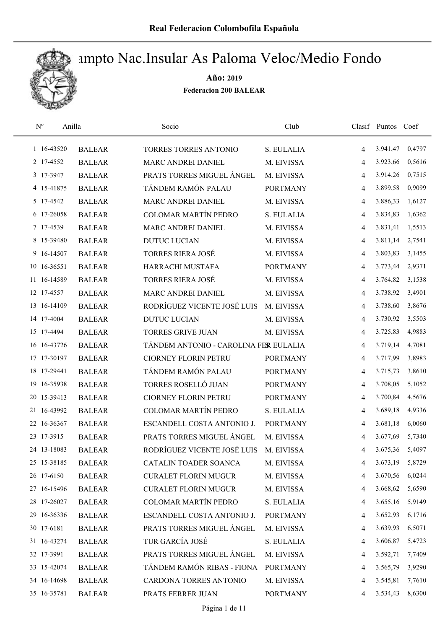

| $\rm N^o$   | Anilla        | Socio                                 | Club            |                | Clasif Puntos Coef |        |
|-------------|---------------|---------------------------------------|-----------------|----------------|--------------------|--------|
| 1 16-43520  | <b>BALEAR</b> | <b>TORRES TORRES ANTONIO</b>          | S. EULALIA      | $\overline{4}$ | 3.941,47           | 0,4797 |
| 2 17-4552   | <b>BALEAR</b> | MARC ANDREI DANIEL                    | M. EIVISSA      | $\overline{4}$ | 3.923,66           | 0,5616 |
| 3 17-3947   | <b>BALEAR</b> | PRATS TORRES MIGUEL ÁNGEL             | M. EIVISSA      | 4              | 3.914,26           | 0,7515 |
| 4 15-41875  | <b>BALEAR</b> | TÁNDEM RAMÓN PALAU                    | <b>PORTMANY</b> | $\overline{4}$ | 3.899,58           | 0,9099 |
| 5 17-4542   | <b>BALEAR</b> | MARC ANDREI DANIEL                    | M. EIVISSA      | 4              | 3.886,33           | 1,6127 |
| 6 17-26058  | <b>BALEAR</b> | <b>COLOMAR MARTÍN PEDRO</b>           | S. EULALIA      | $\overline{4}$ | 3.834,83           | 1,6362 |
| 7 17-4539   | <b>BALEAR</b> | MARC ANDREI DANIEL                    | M. EIVISSA      | $\overline{4}$ | 3.831,41           | 1,5513 |
| 8 15-39480  | <b>BALEAR</b> | <b>DUTUC LUCIAN</b>                   | M. EIVISSA      | $\overline{4}$ | 3.811,14           | 2,7541 |
| 9 16-14507  | <b>BALEAR</b> | <b>TORRES RIERA JOSÉ</b>              | M. EIVISSA      | $\overline{4}$ | 3.803,83           | 3,1455 |
| 10 16-36551 | <b>BALEAR</b> | HARRACHI MUSTAFA                      | <b>PORTMANY</b> | $\overline{4}$ | 3.773,44           | 2,9371 |
| 11 16-14589 | <b>BALEAR</b> | <b>TORRES RIERA JOSÉ</b>              | M. EIVISSA      | $\overline{4}$ | 3.764,82           | 3,1538 |
| 12 17-4557  | <b>BALEAR</b> | MARC ANDREI DANIEL                    | M. EIVISSA      | 4              | 3.738,92           | 3,4901 |
| 13 16-14109 | <b>BALEAR</b> | RODRÍGUEZ VICENTE JOSÉ LUIS           | M. EIVISSA      | 4              | 3.738,60           | 3,8676 |
| 14 17-4004  | <b>BALEAR</b> | <b>DUTUC LUCIAN</b>                   | M. EIVISSA      | $\overline{4}$ | 3.730,92           | 3,5503 |
| 15 17-4494  | <b>BALEAR</b> | <b>TORRES GRIVE JUAN</b>              | M. EIVISSA      | 4              | 3.725,83           | 4,9883 |
| 16 16-43726 | <b>BALEAR</b> | TÁNDEM ANTONIO - CAROLINA FER EULALIA |                 | $\overline{4}$ | 3.719,14           | 4,7081 |
| 17 17-30197 | <b>BALEAR</b> | <b>CIORNEY FLORIN PETRU</b>           | <b>PORTMANY</b> | $\overline{4}$ | 3.717,99           | 3,8983 |
| 18 17-29441 | <b>BALEAR</b> | TÁNDEM RAMÓN PALAU                    | <b>PORTMANY</b> | $\overline{4}$ | 3.715,73           | 3,8610 |
| 19 16-35938 | <b>BALEAR</b> | TORRES ROSELLÓ JUAN                   | <b>PORTMANY</b> | $\overline{4}$ | 3.708,05           | 5,1052 |
| 20 15-39413 | <b>BALEAR</b> | <b>CIORNEY FLORIN PETRU</b>           | <b>PORTMANY</b> | $\overline{4}$ | 3.700,84           | 4,5676 |
| 21 16-43992 | <b>BALEAR</b> | <b>COLOMAR MARTÍN PEDRO</b>           | S. EULALIA      | $\overline{4}$ | 3.689,18           | 4,9336 |
| 22 16-36367 | <b>BALEAR</b> | ESCANDELL COSTA ANTONIO J.            | <b>PORTMANY</b> | 4              | 3.681,18           | 6,0060 |
| 23 17-3915  | <b>BALEAR</b> | PRATS TORRES MIGUEL ÁNGEL             | M. EIVISSA      | 4              | 3.677,69           | 5,7340 |
| 24 13-18083 | <b>BALEAR</b> | RODRÍGUEZ VICENTE JOSÉ LUIS           | M. EIVISSA      | 4              | 3.675,36           | 5,4097 |
| 25 15-38185 | <b>BALEAR</b> | CATALIN TOADER SOANCA                 | M. EIVISSA      | 4              | 3.673,19           | 5,8729 |
| 26 17-6150  | <b>BALEAR</b> | <b>CURALET FLORIN MUGUR</b>           | M. EIVISSA      | 4              | 3.670,56           | 6,0244 |
| 27 16-15496 | <b>BALEAR</b> | <b>CURALET FLORIN MUGUR</b>           | M. EIVISSA      | 4              | 3.668,62           | 5,6590 |
| 28 17-26027 | <b>BALEAR</b> | COLOMAR MARTÍN PEDRO                  | S. EULALIA      | $\overline{4}$ | 3.655,16           | 5,9149 |
| 29 16-36336 | <b>BALEAR</b> | ESCANDELL COSTA ANTONIO J.            | <b>PORTMANY</b> | 4              | 3.652,93           | 6,1716 |
| 30 17-6181  | <b>BALEAR</b> | PRATS TORRES MIGUEL ANGEL             | M. EIVISSA      | 4              | 3.639,93           | 6,5071 |
| 31 16-43274 | <b>BALEAR</b> | TUR GARCÍA JOSÉ                       | S. EULALIA      | 4              | 3.606,87           | 5,4723 |
| 32 17-3991  | <b>BALEAR</b> | PRATS TORRES MIGUEL ÁNGEL             | M. EIVISSA      | 4              | 3.592,71           | 7,7409 |
| 33 15-42074 | <b>BALEAR</b> | TÁNDEM RAMÓN RIBAS - FIONA            | <b>PORTMANY</b> | 4              | 3.565,79           | 3,9290 |
| 34 16-14698 | <b>BALEAR</b> | CARDONA TORRES ANTONIO                | M. EIVISSA      | $\overline{4}$ | 3.545,81           | 7,7610 |
| 35 16-35781 | <b>BALEAR</b> | PRATS FERRER JUAN                     | <b>PORTMANY</b> | 4              | 3.534,43           | 8,6300 |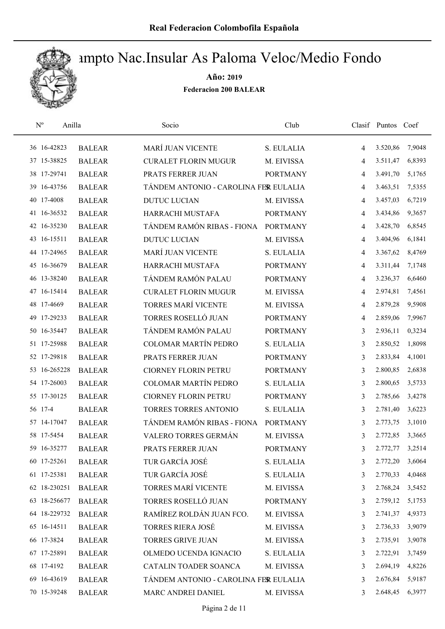

| $\mathbf{N}^{\text{o}}$ | Anilla        | Socio                                 | Club            |   | Clasif Puntos Coef |        |
|-------------------------|---------------|---------------------------------------|-----------------|---|--------------------|--------|
| 36 16-42823             | <b>BALEAR</b> | <b>MARÍ JUAN VICENTE</b>              | S. EULALIA      | 4 | 3.520,86           | 7,9048 |
| 37 15-38825             | <b>BALEAR</b> | <b>CURALET FLORIN MUGUR</b>           | M. EIVISSA      | 4 | 3.511,47           | 6,8393 |
| 38 17-29741             | <b>BALEAR</b> | PRATS FERRER JUAN                     | <b>PORTMANY</b> | 4 | 3.491,70           | 5,1765 |
| 39 16-43756             | <b>BALEAR</b> | TÁNDEM ANTONIO - CAROLINA FER EULALIA |                 | 4 | 3.463,51           | 7,5355 |
| 40 17-4008              | <b>BALEAR</b> | <b>DUTUC LUCIAN</b>                   | M. EIVISSA      | 4 | 3.457,03           | 6,7219 |
| 41 16-36532             | <b>BALEAR</b> | HARRACHI MUSTAFA                      | <b>PORTMANY</b> | 4 | 3.434,86           | 9,3657 |
| 42 16-35230             | <b>BALEAR</b> | TÁNDEM RAMÓN RIBAS - FIONA            | <b>PORTMANY</b> | 4 | 3.428,70           | 6,8545 |
| 43 16-15511             | <b>BALEAR</b> | <b>DUTUC LUCIAN</b>                   | M. EIVISSA      | 4 | 3.404,96           | 6,1841 |
| 44 17-24965             | <b>BALEAR</b> | MARÍ JUAN VICENTE                     | S. EULALIA      | 4 | 3.367,62           | 8,4769 |
| 45 16-36679             | <b>BALEAR</b> | HARRACHI MUSTAFA                      | <b>PORTMANY</b> | 4 | 3.311,44           | 7,1748 |
| 46 13-38240             | <b>BALEAR</b> | TÁNDEM RAMÓN PALAU                    | <b>PORTMANY</b> | 4 | 3.236,37           | 6,6460 |
| 47 16-15414             | <b>BALEAR</b> | <b>CURALET FLORIN MUGUR</b>           | M. EIVISSA      | 4 | 2.974,81           | 7,4561 |
| 48 17-4669              | <b>BALEAR</b> | <b>TORRES MARÍ VICENTE</b>            | M. EIVISSA      | 4 | 2.879,28           | 9,5908 |
| 49 17-29233             | <b>BALEAR</b> | TORRES ROSELLÓ JUAN                   | <b>PORTMANY</b> | 4 | 2.859,06           | 7,9967 |
| 50 16-35447             | <b>BALEAR</b> | TÁNDEM RAMÓN PALAU                    | <b>PORTMANY</b> | 3 | 2.936,11           | 0,3234 |
| 51 17-25988             | <b>BALEAR</b> | <b>COLOMAR MARTÍN PEDRO</b>           | S. EULALIA      | 3 | 2.850,52           | 1,8098 |
| 52 17-29818             | <b>BALEAR</b> | PRATS FERRER JUAN                     | <b>PORTMANY</b> | 3 | 2.833,84           | 4,1001 |
| 53 16-265228            | <b>BALEAR</b> | <b>CIORNEY FLORIN PETRU</b>           | <b>PORTMANY</b> | 3 | 2.800,85           | 2,6838 |
| 54 17-26003             | <b>BALEAR</b> | <b>COLOMAR MARTÍN PEDRO</b>           | S. EULALIA      | 3 | 2.800,65           | 3,5733 |
| 55 17-30125             | <b>BALEAR</b> | <b>CIORNEY FLORIN PETRU</b>           | <b>PORTMANY</b> | 3 | 2.785,66           | 3,4278 |
| 56 17-4                 | <b>BALEAR</b> | TORRES TORRES ANTONIO                 | S. EULALIA      | 3 | 2.781,40           | 3,6223 |
| 57 14-17047             | <b>BALEAR</b> | TÁNDEM RAMÓN RIBAS - FIONA            | <b>PORTMANY</b> | 3 | 2.773,75           | 3,1010 |
| 58 17-5454              | <b>BALEAR</b> | VALERO TORRES GERMÁN                  | M. EIVISSA      | 3 | 2.772,85           | 3,3665 |
| 59 16-35277             | <b>BALEAR</b> | PRATS FERRER JUAN                     | <b>PORTMANY</b> | 3 | 2.772,77           | 3,2514 |
| 60 17-25261             | <b>BALEAR</b> | TUR GARCÍA JOSÉ                       | S. EULALIA      | 3 | 2.772,20           | 3,6064 |
| 61 17-25381             | <b>BALEAR</b> | TUR GARCÍA JOSÉ                       | S. EULALIA      | 3 | 2.770,33           | 4,0468 |
| 62 18-230251            | <b>BALEAR</b> | TORRES MARÍ VICENTE                   | M. EIVISSA      | 3 | 2.768,24           | 3,5452 |
| 63 18-256677            | <b>BALEAR</b> | TORRES ROSELLÓ JUAN                   | <b>PORTMANY</b> | 3 | 2.759,12           | 5,1753 |
| 64 18-229732            | <b>BALEAR</b> | RAMÍREZ ROLDÁN JUAN FCO.              | M. EIVISSA      | 3 | 2.741,37           | 4,9373 |
| 65 16-14511             | <b>BALEAR</b> | <b>TORRES RIERA JOSÉ</b>              | M. EIVISSA      | 3 | 2.736,33           | 3,9079 |
| 66 17-3824              | <b>BALEAR</b> | TORRES GRIVE JUAN                     | M. EIVISSA      | 3 | 2.735,91           | 3,9078 |
| 67 17-25891             | <b>BALEAR</b> | OLMEDO UCENDA IGNACIO                 | S. EULALIA      | 3 | 2.722,91           | 3,7459 |
| 68 17-4192              | <b>BALEAR</b> | CATALIN TOADER SOANCA                 | M. EIVISSA      | 3 | 2.694,19           | 4,8226 |
| 69 16-43619             | <b>BALEAR</b> | TÁNDEM ANTONIO - CAROLINA FER EULALIA |                 | 3 | 2.676,84           | 5,9187 |
| 70 15-39248             | <b>BALEAR</b> | MARC ANDREI DANIEL                    | M. EIVISSA      | 3 | 2.648,45           | 6,3977 |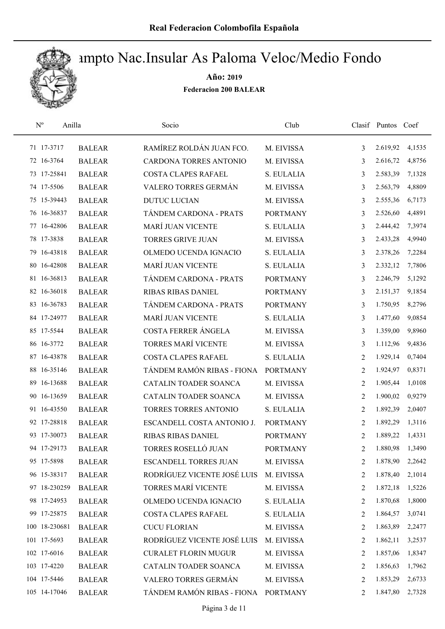

| $\rm N^o$     | Anilla        | Socio                        | Club            |                | Clasif Puntos Coef |        |
|---------------|---------------|------------------------------|-----------------|----------------|--------------------|--------|
| 71 17-3717    | <b>BALEAR</b> | RAMÍREZ ROLDÁN JUAN FCO.     | M. EIVISSA      | 3              | 2.619,92           | 4,1535 |
| 72 16-3764    | <b>BALEAR</b> | CARDONA TORRES ANTONIO       | M. EIVISSA      | 3              | 2.616,72           | 4,8756 |
| 73 17-25841   | <b>BALEAR</b> | <b>COSTA CLAPES RAFAEL</b>   | S. EULALIA      | 3              | 2.583,39           | 7,1328 |
| 74 17-5506    | <b>BALEAR</b> | VALERO TORRES GERMÁN         | M. EIVISSA      | 3              | 2.563,79           | 4,8809 |
| 75 15-39443   | <b>BALEAR</b> | <b>DUTUC LUCIAN</b>          | M. EIVISSA      | 3              | 2.555,36           | 6,7173 |
| 76 16-36837   | <b>BALEAR</b> | TÁNDEM CARDONA - PRATS       | <b>PORTMANY</b> | 3              | 2.526,60           | 4,4891 |
| 77 16-42806   | <b>BALEAR</b> | <b>MARÍ JUAN VICENTE</b>     | S. EULALIA      | 3              | 2.444,42           | 7,3974 |
| 78 17-3838    | <b>BALEAR</b> | <b>TORRES GRIVE JUAN</b>     | M. EIVISSA      | 3              | 2.433,28           | 4,9940 |
| 79 16-43818   | <b>BALEAR</b> | OLMEDO UCENDA IGNACIO        | S. EULALIA      | 3              | 2.378,26           | 7,2284 |
| 80 16-42808   | <b>BALEAR</b> | <b>MARÍ JUAN VICENTE</b>     | S. EULALIA      | 3              | 2.332,12           | 7,7806 |
| 81 16-36813   | <b>BALEAR</b> | TÁNDEM CARDONA - PRATS       | <b>PORTMANY</b> | 3              | 2.246,79           | 5,1292 |
| 82 16-36018   | <b>BALEAR</b> | <b>RIBAS RIBAS DANIEL</b>    | <b>PORTMANY</b> | 3              | 2.151,37           | 9,1854 |
| 83 16-36783   | <b>BALEAR</b> | TÁNDEM CARDONA - PRATS       | <b>PORTMANY</b> | 3              | 1.750,95           | 8,2796 |
| 84 17-24977   | <b>BALEAR</b> | <b>MARÍ JUAN VICENTE</b>     | S. EULALIA      | 3              | 1.477,60           | 9,0854 |
| 85 17-5544    | <b>BALEAR</b> | COSTA FERRER ÁNGELA          | M. EIVISSA      | 3              | 1.359,00           | 9,8960 |
| 86 16-3772    | <b>BALEAR</b> | TORRES MARÍ VICENTE          | M. EIVISSA      | 3              | 1.112,96           | 9,4836 |
| 87 16-43878   | <b>BALEAR</b> | <b>COSTA CLAPES RAFAEL</b>   | S. EULALIA      | 2              | 1.929,14           | 0,7404 |
| 88 16-35146   | <b>BALEAR</b> | TÁNDEM RAMÓN RIBAS - FIONA   | <b>PORTMANY</b> | 2              | 1.924,97           | 0,8371 |
| 89 16-13688   | <b>BALEAR</b> | CATALIN TOADER SOANCA        | M. EIVISSA      | 2              | 1.905,44           | 1,0108 |
| 90 16-13659   | <b>BALEAR</b> | CATALIN TOADER SOANCA        | M. EIVISSA      | 2              | 1.900,02           | 0,9279 |
| 91 16-43550   | <b>BALEAR</b> | TORRES TORRES ANTONIO        | S. EULALIA      | 2              | 1.892,39           | 2,0407 |
| 92 17-28818   | <b>BALEAR</b> | ESCANDELL COSTA ANTONIO J.   | <b>PORTMANY</b> | 2              | 1.892,29           | 1,3116 |
| 93 17-30073   | <b>BALEAR</b> | RIBAS RIBAS DANIEL           | <b>PORTMANY</b> | 2              | 1.889,22           | 1,4331 |
| 94 17-29173   | <b>BALEAR</b> | TORRES ROSELLÓ JUAN          | <b>PORTMANY</b> | $\overline{2}$ | 1.880,98           | 1,3490 |
| 95 17-5898    | <b>BALEAR</b> | <b>ESCANDELL TORRES JUAN</b> | M. EIVISSA      | 2              | 1.878,90           | 2,2642 |
| 96 15-38317   | <b>BALEAR</b> | RODRÍGUEZ VICENTE JOSÉ LUIS  | M. EIVISSA      | 2              | 1.878,40           | 2,1014 |
| 97 18-230259  | <b>BALEAR</b> | TORRES MARÍ VICENTE          | M. EIVISSA      | 2              | 1.872,18           | 1,5226 |
| 98 17-24953   | <b>BALEAR</b> | OLMEDO UCENDA IGNACIO        | S. EULALIA      | 2              | 1.870,68           | 1,8000 |
| 99 17-25875   | <b>BALEAR</b> | COSTA CLAPES RAFAEL          | S. EULALIA      | 2              | 1.864,57           | 3,0741 |
| 100 18-230681 | <b>BALEAR</b> | <b>CUCU FLORIAN</b>          | M. EIVISSA      | 2              | 1.863,89           | 2,2477 |
| 101 17-5693   | <b>BALEAR</b> | RODRÍGUEZ VICENTE JOSÉ LUIS  | M. EIVISSA      | 2              | 1.862,11           | 3,2537 |
| 102 17-6016   | <b>BALEAR</b> | <b>CURALET FLORIN MUGUR</b>  | M. EIVISSA      | 2              | 1.857,06           | 1,8347 |
| 103 17-4220   | <b>BALEAR</b> | CATALIN TOADER SOANCA        | M. EIVISSA      | 2              | 1.856,63           | 1,7962 |
| 104 17-5446   | <b>BALEAR</b> | VALERO TORRES GERMÁN         | M. EIVISSA      | 2              | 1.853,29           | 2,6733 |
| 105 14-17046  | <b>BALEAR</b> | TÁNDEM RAMÓN RIBAS - FIONA   | <b>PORTMANY</b> | 2              | 1.847,80           | 2,7328 |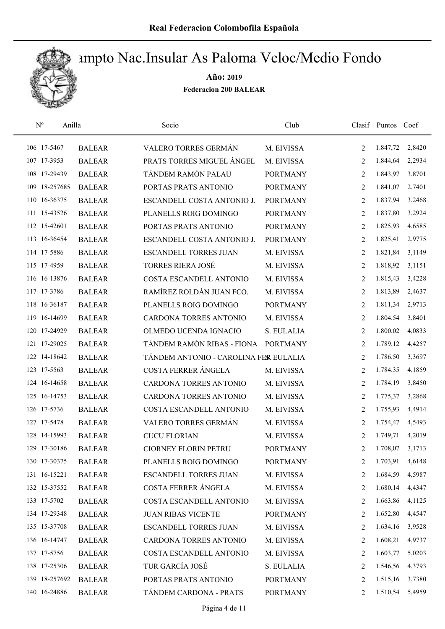

| $\mathbf{N}^{\text{o}}$<br>Anilla |               | Socio                                 | Club            |   | Clasif Puntos Coef |        |
|-----------------------------------|---------------|---------------------------------------|-----------------|---|--------------------|--------|
| 106 17-5467                       | <b>BALEAR</b> | VALERO TORRES GERMÁN                  | M. EIVISSA      | 2 | 1.847,72           | 2,8420 |
| 107 17-3953                       | <b>BALEAR</b> | PRATS TORRES MIGUEL ÁNGEL             | M. EIVISSA      | 2 | 1.844,64           | 2,2934 |
| 108 17-29439                      | <b>BALEAR</b> | TÁNDEM RAMÓN PALAU                    | <b>PORTMANY</b> | 2 | 1.843,97           | 3,8701 |
| 109 18-257685                     | <b>BALEAR</b> | PORTAS PRATS ANTONIO                  | <b>PORTMANY</b> | 2 | 1.841,07           | 2,7401 |
| 110 16-36375                      | <b>BALEAR</b> | ESCANDELL COSTA ANTONIO J.            | <b>PORTMANY</b> | 2 | 1.837,94           | 3,2468 |
| 111 15-43526                      | <b>BALEAR</b> | PLANELLS ROIG DOMINGO                 | <b>PORTMANY</b> | 2 | 1.837,80           | 3,2924 |
| 112 15-42601                      | <b>BALEAR</b> | PORTAS PRATS ANTONIO                  | <b>PORTMANY</b> | 2 | 1.825,93           | 4,6585 |
| 113 16-36454                      | <b>BALEAR</b> | ESCANDELL COSTA ANTONIO J.            | <b>PORTMANY</b> | 2 | 1.825,41           | 2,9775 |
| 114 17-5886                       | <b>BALEAR</b> | <b>ESCANDELL TORRES JUAN</b>          | M. EIVISSA      | 2 | 1.821,84           | 3,1149 |
| 115 17-4959                       | <b>BALEAR</b> | <b>TORRES RIERA JOSÉ</b>              | M. EIVISSA      | 2 | 1.818,92           | 3,1151 |
| 116 16-13876                      | <b>BALEAR</b> | COSTA ESCANDELL ANTONIO               | M. EIVISSA      | 2 | 1.815,43           | 3,4228 |
| 117 17-3786                       | <b>BALEAR</b> | RAMÍREZ ROLDÁN JUAN FCO.              | M. EIVISSA      | 2 | 1.813,89           | 2,4637 |
| 118 16-36187                      | <b>BALEAR</b> | PLANELLS ROIG DOMINGO                 | <b>PORTMANY</b> | 2 | 1.811,34           | 2,9713 |
| 119 16-14699                      | <b>BALEAR</b> | CARDONA TORRES ANTONIO                | M. EIVISSA      | 2 | 1.804,54           | 3,8401 |
| 120 17-24929                      | <b>BALEAR</b> | OLMEDO UCENDA IGNACIO                 | S. EULALIA      | 2 | 1.800,02           | 4,0833 |
| 121 17-29025                      | <b>BALEAR</b> | TÁNDEM RAMÓN RIBAS - FIONA PORTMANY   |                 | 2 | 1.789,12           | 4,4257 |
| 122 14-18642                      | <b>BALEAR</b> | TÁNDEM ANTONIO - CAROLINA FER EULALIA |                 | 2 | 1.786,50           | 3,3697 |
| 123 17-5563                       | <b>BALEAR</b> | COSTA FERRER ÁNGELA                   | M. EIVISSA      | 2 | 1.784,35           | 4,1859 |
| 124 16-14658                      | <b>BALEAR</b> | CARDONA TORRES ANTONIO                | M. EIVISSA      | 2 | 1.784,19           | 3,8450 |
| 125 16-14753                      | <b>BALEAR</b> | CARDONA TORRES ANTONIO                | M. EIVISSA      | 2 | 1.775,37           | 3,2868 |
| 126 17-5736                       | <b>BALEAR</b> | COSTA ESCANDELL ANTONIO               | M. EIVISSA      | 2 | 1.755,93           | 4,4914 |
| 127 17-5478                       | <b>BALEAR</b> | VALERO TORRES GERMÁN                  | M. EIVISSA      | 2 | 1.754,47           | 4,5493 |
| 128 14-15993                      | <b>BALEAR</b> | <b>CUCU FLORIAN</b>                   | M. EIVISSA      | 2 | 1.749,71           | 4,2019 |
| 129 17-30186                      | <b>BALEAR</b> | <b>CIORNEY FLORIN PETRU</b>           | <b>PORTMANY</b> | 2 | 1.708,07           | 3,1713 |
| 130 17-30375                      | <b>BALEAR</b> | PLANELLS ROIG DOMINGO                 | <b>PORTMANY</b> | 2 | 1.703,91           | 4,6148 |
| 131 16-15221                      | <b>BALEAR</b> | <b>ESCANDELL TORRES JUAN</b>          | M. EIVISSA      | 2 | 1.684,59           | 4,5987 |
| 132 15-37552                      | <b>BALEAR</b> | COSTA FERRER ÁNGELA                   | M. EIVISSA      | 2 | 1.680,14           | 4,4347 |
| 133 17-5702                       | <b>BALEAR</b> | COSTA ESCANDELL ANTONIO               | M. EIVISSA      | 2 | 1.663,86           | 4,1125 |
| 134 17-29348                      | <b>BALEAR</b> | <b>JUAN RIBAS VICENTE</b>             | <b>PORTMANY</b> | 2 | 1.652,80           | 4,4547 |
| 135 15-37708                      | <b>BALEAR</b> | <b>ESCANDELL TORRES JUAN</b>          | M. EIVISSA      | 2 | 1.634,16           | 3,9528 |
| 136 16-14747                      | <b>BALEAR</b> | CARDONA TORRES ANTONIO                | M. EIVISSA      | 2 | 1.608,21           | 4,9737 |
| 137 17-5756                       | <b>BALEAR</b> | COSTA ESCANDELL ANTONIO               | M. EIVISSA      | 2 | 1.603,77           | 5,0203 |
| 138 17-25306                      | <b>BALEAR</b> | TUR GARCÍA JOSÉ                       | S. EULALIA      | 2 | 1.546,56           | 4,3793 |
| 139 18-257692                     | <b>BALEAR</b> | PORTAS PRATS ANTONIO                  | <b>PORTMANY</b> | 2 | 1.515,16           | 3,7380 |
| 140 16-24886                      | <b>BALEAR</b> | TÁNDEM CARDONA - PRATS                | <b>PORTMANY</b> | 2 | 1.510,54           | 5,4959 |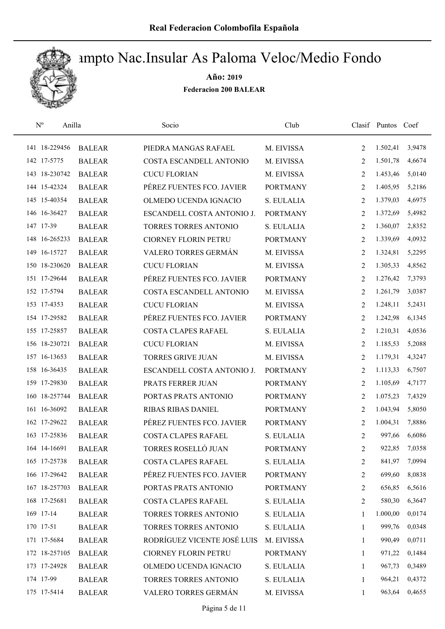

| $\mathrm{N}^{\rm o}$ | Anilla        | Socio                       | Club            |                | Clasif Puntos Coef |        |
|----------------------|---------------|-----------------------------|-----------------|----------------|--------------------|--------|
| 141 18-229456        | <b>BALEAR</b> | PIEDRA MANGAS RAFAEL        | M. EIVISSA      | 2              | 1.502,41           | 3,9478 |
| 142 17-5775          | <b>BALEAR</b> | COSTA ESCANDELL ANTONIO     | M. EIVISSA      | 2              | 1.501,78           | 4,6674 |
| 143 18-230742        | <b>BALEAR</b> | <b>CUCU FLORIAN</b>         | M. EIVISSA      | 2              | 1.453,46           | 5,0140 |
| 144 15-42324         | <b>BALEAR</b> | PÉREZ FUENTES FCO. JAVIER   | <b>PORTMANY</b> | 2              | 1.405,95           | 5,2186 |
| 145 15-40354         | <b>BALEAR</b> | OLMEDO UCENDA IGNACIO       | S. EULALIA      | 2              | 1.379,03           | 4,6975 |
| 146 16-36427         | <b>BALEAR</b> | ESCANDELL COSTA ANTONIO J.  | <b>PORTMANY</b> | 2              | 1.372,69           | 5,4982 |
| 147 17-39            | <b>BALEAR</b> | TORRES TORRES ANTONIO       | S. EULALIA      | 2              | 1.360,07           | 2,8352 |
| 148 16-265233        | <b>BALEAR</b> | <b>CIORNEY FLORIN PETRU</b> | <b>PORTMANY</b> | 2              | 1.339,69           | 4,0932 |
| 149 16-15727         | <b>BALEAR</b> | VALERO TORRES GERMÁN        | M. EIVISSA      | 2              | 1.324,81           | 5,2295 |
| 150 18-230620        | <b>BALEAR</b> | <b>CUCU FLORIAN</b>         | M. EIVISSA      | 2              | 1.305,33           | 4,8562 |
| 151 17-29644         | <b>BALEAR</b> | PÉREZ FUENTES FCO. JAVIER   | <b>PORTMANY</b> | 2              | 1.276,42           | 7,3793 |
| 152 17-5794          | <b>BALEAR</b> | COSTA ESCANDELL ANTONIO     | M. EIVISSA      | 2              | 1.261,79           | 3,0387 |
| 153 17-4353          | <b>BALEAR</b> | <b>CUCU FLORIAN</b>         | M. EIVISSA      | 2              | 1.248,11           | 5,2431 |
| 154 17-29582         | <b>BALEAR</b> | PÉREZ FUENTES FCO. JAVIER   | <b>PORTMANY</b> | 2              | 1.242,98           | 6,1345 |
| 155 17-25857         | <b>BALEAR</b> | COSTA CLAPES RAFAEL         | S. EULALIA      | 2              | 1.210,31           | 4,0536 |
| 156 18-230721        | <b>BALEAR</b> | <b>CUCU FLORIAN</b>         | M. EIVISSA      | 2              | 1.185,53           | 5,2088 |
| 157 16-13653         | <b>BALEAR</b> | <b>TORRES GRIVE JUAN</b>    | M. EIVISSA      | 2              | 1.179,31           | 4,3247 |
| 158 16-36435         | <b>BALEAR</b> | ESCANDELL COSTA ANTONIO J.  | <b>PORTMANY</b> | 2              | 1.113,33           | 6,7507 |
| 159 17-29830         | <b>BALEAR</b> | PRATS FERRER JUAN           | <b>PORTMANY</b> | 2              | 1.105,69           | 4,7177 |
| 160 18-257744        | <b>BALEAR</b> | PORTAS PRATS ANTONIO        | <b>PORTMANY</b> | 2              | 1.075,23           | 7,4329 |
| 161 16-36092         | <b>BALEAR</b> | RIBAS RIBAS DANIEL          | <b>PORTMANY</b> | 2              | 1.043,94           | 5,8050 |
| 162 17-29622         | <b>BALEAR</b> | PÉREZ FUENTES FCO. JAVIER   | <b>PORTMANY</b> | 2              | 1.004,31           | 7,8886 |
| 163 17-25836         | <b>BALEAR</b> | COSTA CLAPES RAFAEL         | S. EULALIA      | 2              | 997,66             | 6,6086 |
| 164 14-16691         | <b>BALEAR</b> | TORRES ROSELLÓ JUAN         | <b>PORTMANY</b> | $\overline{2}$ | 922,85             | 7,0358 |
| 165 17-25738         | <b>BALEAR</b> | COSTA CLAPES RAFAEL         | S. EULALIA      | 2              | 841,97             | 7,0994 |
| 166 17-29642         | <b>BALEAR</b> | PÉREZ FUENTES FCO. JAVIER   | <b>PORTMANY</b> | 2              | 699,60             | 8,0838 |
| 167 18-257703        | <b>BALEAR</b> | PORTAS PRATS ANTONIO        | <b>PORTMANY</b> | 2              | 656,85             | 6,5616 |
| 168 17-25681         | <b>BALEAR</b> | COSTA CLAPES RAFAEL         | S. EULALIA      | 2              | 580,30             | 6,3647 |
| 169 17-14            | <b>BALEAR</b> | TORRES TORRES ANTONIO       | S. EULALIA      | 1              | 1.000,00           | 0,0174 |
| 170 17-51            | <b>BALEAR</b> | TORRES TORRES ANTONIO       | S. EULALIA      | 1              | 999,76             | 0,0348 |
| 171 17-5684          | <b>BALEAR</b> | RODRÍGUEZ VICENTE JOSÉ LUIS | M. EIVISSA      | 1              | 990,49             | 0,0711 |
| 172 18-257105        | <b>BALEAR</b> | <b>CIORNEY FLORIN PETRU</b> | <b>PORTMANY</b> | 1              | 971,22             | 0,1484 |
| 173 17-24928         | <b>BALEAR</b> | OLMEDO UCENDA IGNACIO       | S. EULALIA      | 1              | 967,73             | 0,3489 |
| 174 17-99            | <b>BALEAR</b> | TORRES TORRES ANTONIO       | S. EULALIA      | 1              | 964,21             | 0,4372 |
| 175 17-5414          | <b>BALEAR</b> | VALERO TORRES GERMÁN        | M. EIVISSA      | $\mathbf{1}$   | 963,64             | 0,4655 |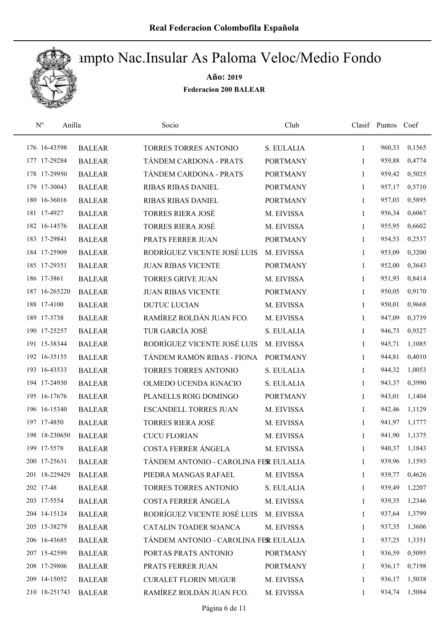

| $\mathrm{N}^{\rm o}$ | Anilla        | Socio                                 | Club            |              | Clasif Puntos Coef |        |
|----------------------|---------------|---------------------------------------|-----------------|--------------|--------------------|--------|
| 176 16-43598         | <b>BALEAR</b> | TORRES TORRES ANTONIO                 | S. EULALIA      | 1            | 960,33             | 0,1565 |
| 177 17-29284         | <b>BALEAR</b> | TÁNDEM CARDONA - PRATS                | <b>PORTMANY</b> | 1            | 959,88             | 0,4774 |
| 178 17-29950         | <b>BALEAR</b> | TÁNDEM CARDONA - PRATS                | <b>PORTMANY</b> | 1            | 959,42             | 0,5025 |
| 179 17-30043         | <b>BALEAR</b> | RIBAS RIBAS DANIEL                    | <b>PORTMANY</b> | 1            | 957,17             | 0,5710 |
| 180 16-36016         | <b>BALEAR</b> | <b>RIBAS RIBAS DANIEL</b>             | <b>PORTMANY</b> | 1            | 957,03             | 0,5895 |
| 181 17-4927          | <b>BALEAR</b> | <b>TORRES RIERA JOSÉ</b>              | M. EIVISSA      | 1            | 956,34             | 0,6067 |
| 182 16-14576         | <b>BALEAR</b> | <b>TORRES RIERA JOSÉ</b>              | M. EIVISSA      | 1            | 955,95             | 0,6602 |
| 183 17-29841         | <b>BALEAR</b> | PRATS FERRER JUAN                     | <b>PORTMANY</b> | 1            | 954,53             | 0,2537 |
| 184 17-25909         | <b>BALEAR</b> | RODRÍGUEZ VICENTE JOSÉ LUIS           | M. EIVISSA      | 1            | 953,09             | 0,3200 |
| 185 17-29351         | <b>BALEAR</b> | <b>JUAN RIBAS VICENTE</b>             | <b>PORTMANY</b> | 1            | 952,00             | 0,3643 |
| 186 17-3861          | <b>BALEAR</b> | <b>TORRES GRIVE JUAN</b>              | M. EIVISSA      | 1            | 951,93             | 0,8414 |
| 187 16-265220        | <b>BALEAR</b> | <b>JUAN RIBAS VICENTE</b>             | <b>PORTMANY</b> | 1            | 950,05             | 0,9170 |
| 188 17-4100          | <b>BALEAR</b> | <b>DUTUC LUCIAN</b>                   | M. EIVISSA      | 1            | 950,01             | 0,9668 |
| 189 17-3738          | <b>BALEAR</b> | RAMÍREZ ROLDÁN JUAN FCO.              | M. EIVISSA      | 1            | 947,09             | 0,3739 |
| 190 17-25257         | <b>BALEAR</b> | TUR GARCÍA JOSÉ                       | S. EULALIA      | 1            | 946,73             | 0,9327 |
| 191 15-38344         | <b>BALEAR</b> | RODRÍGUEZ VICENTE JOSÉ LUIS           | M. EIVISSA      | 1            | 945,71             | 1,1085 |
| 192 16-35155         | <b>BALEAR</b> | TÁNDEM RAMÓN RIBAS - FIONA            | <b>PORTMANY</b> | 1            | 944,81             | 0,4010 |
| 193 16-43533         | <b>BALEAR</b> | TORRES TORRES ANTONIO                 | S. EULALIA      | 1            | 944,32             | 1,0053 |
| 194 17-24930         | <b>BALEAR</b> | OLMEDO UCENDA IGNACIO                 | S. EULALIA      | 1            | 943,37             | 0,3990 |
| 195 16-17676         | <b>BALEAR</b> | PLANELLS ROIG DOMINGO                 | <b>PORTMANY</b> | 1            | 943,01             | 1,1404 |
| 196 16-15340         | <b>BALEAR</b> | <b>ESCANDELL TORRES JUAN</b>          | M. EIVISSA      | 1            | 942,46             | 1,1129 |
| 197 17-4850          | <b>BALEAR</b> | <b>TORRES RIERA JOSÉ</b>              | M. EIVISSA      | 1            | 941,97             | 1,1777 |
| 198 18-230650        | <b>BALEAR</b> | <b>CUCU FLORIAN</b>                   | M. EIVISSA      | 1            | 941,90             | 1,1375 |
| 199 17-5578          | <b>BALEAR</b> | COSTA FERRER ÁNGELA                   | M. EIVISSA      | 1            | 940,37             | 1,1843 |
| 200 17-25631         | <b>BALEAR</b> | TÁNDEM ANTONIO - CAROLINA FER EULALIA |                 | 1            | 939,96             | 1,1593 |
| 201 18-229429        | <b>BALEAR</b> | PIEDRA MANGAS RAFAEL                  | M. EIVISSA      | 1            | 939,77             | 0,4626 |
| 202 17-48            | <b>BALEAR</b> | TORRES TORRES ANTONIO                 | S. EULALIA      | 1            | 939,49             | 1,2207 |
| 203 17-5554          | <b>BALEAR</b> | COSTA FERRER ÁNGELA                   | M. EIVISSA      | 1            | 939,35             | 1,2346 |
| 204 14-15124         | <b>BALEAR</b> | RODRÍGUEZ VICENTE JOSÉ LUIS           | M. EIVISSA      | 1            | 937,64             | 1,3799 |
| 205 15-38279         | <b>BALEAR</b> | CATALIN TOADER SOANCA                 | M. EIVISSA      | $\mathbf{1}$ | 937,35             | 1,3606 |
| 206 16-43685         | <b>BALEAR</b> | TÁNDEM ANTONIO - CAROLINA FER EULALIA |                 | 1            | 937,25             | 1,3351 |
| 207 15-42599         | <b>BALEAR</b> | PORTAS PRATS ANTONIO                  | <b>PORTMANY</b> | 1            | 936,59             | 0,5095 |
| 208 17-29806         | <b>BALEAR</b> | PRATS FERRER JUAN                     | <b>PORTMANY</b> | 1            | 936,17             | 0,7198 |
| 209 14-15052         | <b>BALEAR</b> | <b>CURALET FLORIN MUGUR</b>           | M. EIVISSA      | 1            | 936,17             | 1,5038 |
| 210 18-251743        | <b>BALEAR</b> | RAMÍREZ ROLDÁN JUAN FCO.              | M. EIVISSA      | 1            | 934,74             | 1,5084 |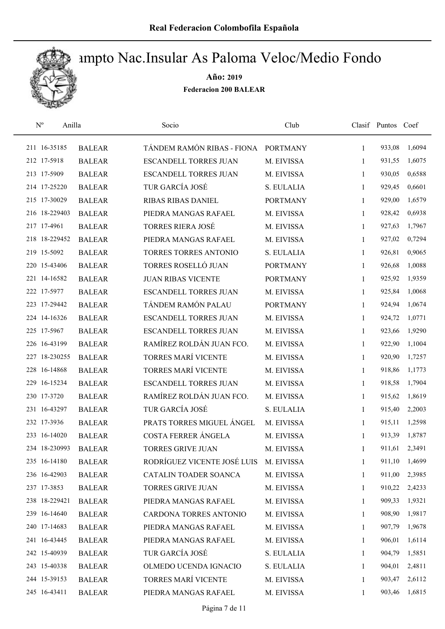

| $\mathbf{N}^{\text{o}}$<br>Anilla |               | Socio                        | Club            |              | Clasif Puntos Coef |        |
|-----------------------------------|---------------|------------------------------|-----------------|--------------|--------------------|--------|
| 211 16-35185                      | <b>BALEAR</b> | TÁNDEM RAMÓN RIBAS - FIONA   | <b>PORTMANY</b> | 1            | 933,08             | 1,6094 |
| 212 17-5918                       | <b>BALEAR</b> | <b>ESCANDELL TORRES JUAN</b> | M. EIVISSA      | 1            | 931,55             | 1,6075 |
| 213 17-5909                       | <b>BALEAR</b> | <b>ESCANDELL TORRES JUAN</b> | M. EIVISSA      | 1            | 930,05             | 0,6588 |
| 214 17-25220                      | <b>BALEAR</b> | TUR GARCÍA JOSÉ              | S. EULALIA      | 1            | 929,45             | 0,6601 |
| 215 17-30029                      | <b>BALEAR</b> | <b>RIBAS RIBAS DANIEL</b>    | <b>PORTMANY</b> | 1            | 929,00             | 1,6579 |
| 216 18-229403                     | <b>BALEAR</b> | PIEDRA MANGAS RAFAEL         | M. EIVISSA      | 1            | 928,42             | 0,6938 |
| 217 17-4961                       | <b>BALEAR</b> | <b>TORRES RIERA JOSÉ</b>     | M. EIVISSA      | 1            | 927,63             | 1,7967 |
| 218 18-229452                     | <b>BALEAR</b> | PIEDRA MANGAS RAFAEL         | M. EIVISSA      | 1            | 927,02             | 0,7294 |
| 219 15-5092                       | <b>BALEAR</b> | TORRES TORRES ANTONIO        | S. EULALIA      | 1            | 926,81             | 0,9065 |
| 220 15-43406                      | <b>BALEAR</b> | TORRES ROSELLÓ JUAN          | <b>PORTMANY</b> | 1            | 926,68             | 1,0088 |
| 221 14-16582                      | <b>BALEAR</b> | <b>JUAN RIBAS VICENTE</b>    | <b>PORTMANY</b> | 1            | 925,92             | 1,9359 |
| 222 17-5977                       | <b>BALEAR</b> | <b>ESCANDELL TORRES JUAN</b> | M. EIVISSA      | 1            | 925,84             | 1,0068 |
| 223 17-29442                      | <b>BALEAR</b> | TÁNDEM RAMÓN PALAU           | <b>PORTMANY</b> | 1            | 924,94             | 1,0674 |
| 224 14-16326                      | <b>BALEAR</b> | <b>ESCANDELL TORRES JUAN</b> | M. EIVISSA      | 1            | 924,72             | 1,0771 |
| 225 17-5967                       | <b>BALEAR</b> | <b>ESCANDELL TORRES JUAN</b> | M. EIVISSA      | 1            | 923,66             | 1,9290 |
| 226 16-43199                      | <b>BALEAR</b> | RAMÍREZ ROLDÁN JUAN FCO.     | M. EIVISSA      | 1            | 922,90             | 1,1004 |
| 227 18-230255                     | <b>BALEAR</b> | TORRES MARÍ VICENTE          | M. EIVISSA      | 1            | 920,90             | 1,7257 |
| 228 16-14868                      | <b>BALEAR</b> | TORRES MARÍ VICENTE          | M. EIVISSA      | $\mathbf{1}$ | 918,86             | 1,1773 |
| 229 16-15234                      | <b>BALEAR</b> | <b>ESCANDELL TORRES JUAN</b> | M. EIVISSA      | 1            | 918,58             | 1,7904 |
| 230 17-3720                       | <b>BALEAR</b> | RAMÍREZ ROLDÁN JUAN FCO.     | M. EIVISSA      | $\mathbf{1}$ | 915,62             | 1,8619 |
| 231 16-43297                      | <b>BALEAR</b> | TUR GARCÍA JOSÉ              | S. EULALIA      | 1            | 915,40             | 2,2003 |
| 232 17-3936                       | <b>BALEAR</b> | PRATS TORRES MIGUEL ÁNGEL    | M. EIVISSA      | 1            | 915,11             | 1,2598 |
| 233 16-14020                      | <b>BALEAR</b> | COSTA FERRER ÁNGELA          | M. EIVISSA      | 1            | 913,39             | 1,8787 |
| 234 18-230993                     | <b>BALEAR</b> | <b>TORRES GRIVE JUAN</b>     | M. EIVISSA      | 1            | 911,61             | 2,3491 |
| 235 16-14180                      | <b>BALEAR</b> | RODRÍGUEZ VICENTE JOSÉ LUIS  | M. EIVISSA      | $\mathbf{1}$ | 911,10             | 1,4699 |
| 236 16-42903                      | <b>BALEAR</b> | CATALIN TOADER SOANCA        | M. EIVISSA      | 1            | 911,00             | 2,3985 |
| 237 17-3853                       | <b>BALEAR</b> | TORRES GRIVE JUAN            | M. EIVISSA      | 1            | 910,22             | 2,4233 |
| 238 18-229421                     | <b>BALEAR</b> | PIEDRA MANGAS RAFAEL         | M. EIVISSA      | 1            | 909,33             | 1,9321 |
| 239 16-14640                      | <b>BALEAR</b> | CARDONA TORRES ANTONIO       | M. EIVISSA      | 1            | 908,90             | 1,9817 |
| 240 17-14683                      | <b>BALEAR</b> | PIEDRA MANGAS RAFAEL         | M. EIVISSA      | 1            | 907,79             | 1,9678 |
| 241 16-43445                      | <b>BALEAR</b> | PIEDRA MANGAS RAFAEL         | M. EIVISSA      | 1            | 906,01             | 1,6114 |
| 242 15-40939                      | <b>BALEAR</b> | TUR GARCÍA JOSÉ              | S. EULALIA      | 1            | 904,79             | 1,5851 |
| 243 15-40338                      | <b>BALEAR</b> | OLMEDO UCENDA IGNACIO        | S. EULALIA      | 1            | 904,01             | 2,4811 |
| 244 15-39153                      | <b>BALEAR</b> | TORRES MARÍ VICENTE          | M. EIVISSA      | 1            | 903,47             | 2,6112 |
| 245 16-43411                      | <b>BALEAR</b> | PIEDRA MANGAS RAFAEL         | M. EIVISSA      | 1            | 903,46             | 1,6815 |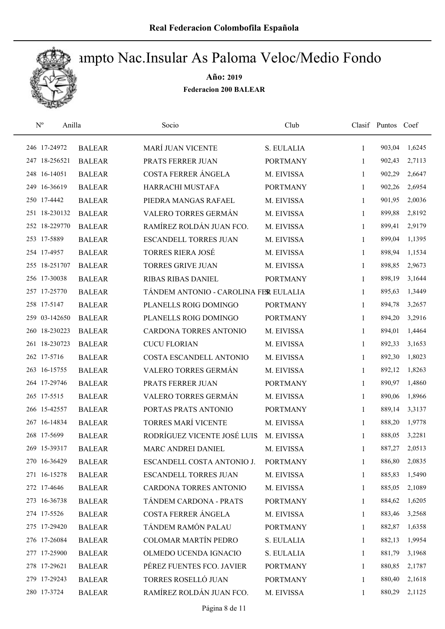

| $\mathbf{N}^{\text{o}}$<br>Anilla |               | Socio                                 | Club            |              | Clasif Puntos Coef |        |
|-----------------------------------|---------------|---------------------------------------|-----------------|--------------|--------------------|--------|
| 246 17-24972                      | <b>BALEAR</b> | <b>MARÍ JUAN VICENTE</b>              | S. EULALIA      | 1            | 903,04             | 1,6245 |
| 247 18-256521                     | <b>BALEAR</b> | PRATS FERRER JUAN                     | <b>PORTMANY</b> | 1            | 902,43             | 2,7113 |
| 248 16-14051                      | <b>BALEAR</b> | COSTA FERRER ÁNGELA                   | M. EIVISSA      | 1            | 902,29             | 2,6647 |
| 249 16-36619                      | <b>BALEAR</b> | HARRACHI MUSTAFA                      | <b>PORTMANY</b> | 1            | 902,26             | 2,6954 |
| 250 17-4442                       | <b>BALEAR</b> | PIEDRA MANGAS RAFAEL                  | M. EIVISSA      | $\mathbf{1}$ | 901,95             | 2,0036 |
| 251 18-230132                     | <b>BALEAR</b> | VALERO TORRES GERMÁN                  | M. EIVISSA      | 1            | 899,88             | 2,8192 |
| 252 18-229770                     | <b>BALEAR</b> | RAMÍREZ ROLDÁN JUAN FCO.              | M. EIVISSA      | 1            | 899,41             | 2,9179 |
| 253 17-5889                       | <b>BALEAR</b> | <b>ESCANDELL TORRES JUAN</b>          | M. EIVISSA      | 1            | 899,04             | 1,1395 |
| 254 17-4957                       | <b>BALEAR</b> | <b>TORRES RIERA JOSÉ</b>              | M. EIVISSA      | 1            | 898,94             | 1,1534 |
| 255 18-251707                     | <b>BALEAR</b> | <b>TORRES GRIVE JUAN</b>              | M. EIVISSA      | 1            | 898,85             | 2,9673 |
| 256 17-30038                      | <b>BALEAR</b> | <b>RIBAS RIBAS DANIEL</b>             | <b>PORTMANY</b> | 1            | 898,19             | 3,1644 |
| 257 17-25770                      | <b>BALEAR</b> | TÁNDEM ANTONIO - CAROLINA FER EULALIA |                 | 1            | 895,63             | 1,3449 |
| 258 17-5147                       | <b>BALEAR</b> | PLANELLS ROIG DOMINGO                 | <b>PORTMANY</b> | 1            | 894,78             | 3,2657 |
| 259 03-142650                     | <b>BALEAR</b> | PLANELLS ROIG DOMINGO                 | <b>PORTMANY</b> | 1            | 894,20             | 3,2916 |
| 260 18-230223                     | <b>BALEAR</b> | CARDONA TORRES ANTONIO                | M. EIVISSA      | 1            | 894,01             | 1,4464 |
| 261 18-230723                     | <b>BALEAR</b> | <b>CUCU FLORIAN</b>                   | M. EIVISSA      | 1            | 892,33             | 3,1653 |
| 262 17-5716                       | <b>BALEAR</b> | COSTA ESCANDELL ANTONIO               | M. EIVISSA      | 1            | 892,30             | 1,8023 |
| 263 16-15755                      | <b>BALEAR</b> | VALERO TORRES GERMÁN                  | M. EIVISSA      | $\mathbf{1}$ | 892,12             | 1,8263 |
| 264 17-29746                      | <b>BALEAR</b> | PRATS FERRER JUAN                     | <b>PORTMANY</b> | 1            | 890,97             | 1,4860 |
| 265 17-5515                       | <b>BALEAR</b> | VALERO TORRES GERMÁN                  | M. EIVISSA      | $\mathbf{1}$ | 890,06             | 1,8966 |
| 266 15-42557                      | <b>BALEAR</b> | PORTAS PRATS ANTONIO                  | <b>PORTMANY</b> | 1            | 889,14             | 3,3137 |
| 267 16-14834                      | <b>BALEAR</b> | TORRES MARÍ VICENTE                   | M. EIVISSA      | 1            | 888,20             | 1,9778 |
| 268 17-5699                       | <b>BALEAR</b> | RODRÍGUEZ VICENTE JOSÉ LUIS           | M. EIVISSA      | 1            | 888,05             | 3,2281 |
| 269 15-39317                      | <b>BALEAR</b> | MARC ANDREI DANIEL                    | M. EIVISSA      | 1            | 887,27             | 2,0513 |
| 270 16-36429                      | <b>BALEAR</b> | ESCANDELL COSTA ANTONIO J.            | <b>PORTMANY</b> | 1            | 886,80             | 2,0835 |
| 271 16-15278                      | <b>BALEAR</b> | ESCANDELL TORRES JUAN                 | M. EIVISSA      | 1            | 885,83             | 1,5490 |
| 272 17-4646                       | <b>BALEAR</b> | CARDONA TORRES ANTONIO                | M. EIVISSA      | 1            | 885,05             | 2,1089 |
| 273 16-36738                      | <b>BALEAR</b> | TÁNDEM CARDONA - PRATS                | <b>PORTMANY</b> | 1            | 884,62             | 1,6205 |
| 274 17-5526                       | <b>BALEAR</b> | COSTA FERRER ÁNGELA                   | M. EIVISSA      | 1            | 883,46             | 3,2568 |
| 275 17-29420                      | <b>BALEAR</b> | TÁNDEM RAMÓN PALAU                    | <b>PORTMANY</b> | 1            | 882,87             | 1,6358 |
| 276 17-26084                      | <b>BALEAR</b> | <b>COLOMAR MARTÍN PEDRO</b>           | S. EULALIA      | 1            | 882,13             | 1,9954 |
| 277 17-25900                      | <b>BALEAR</b> | OLMEDO UCENDA IGNACIO                 | S. EULALIA      | 1            | 881,79             | 3,1968 |
| 278 17-29621                      | <b>BALEAR</b> | PÉREZ FUENTES FCO. JAVIER             | <b>PORTMANY</b> | 1            | 880,85             | 2,1787 |
| 279 17-29243                      | <b>BALEAR</b> | TORRES ROSELLÓ JUAN                   | <b>PORTMANY</b> | 1            | 880,40             | 2,1618 |
| 280 17-3724                       | <b>BALEAR</b> | RAMÍREZ ROLDÁN JUAN FCO.              | M. EIVISSA      | 1            | 880,29             | 2,1125 |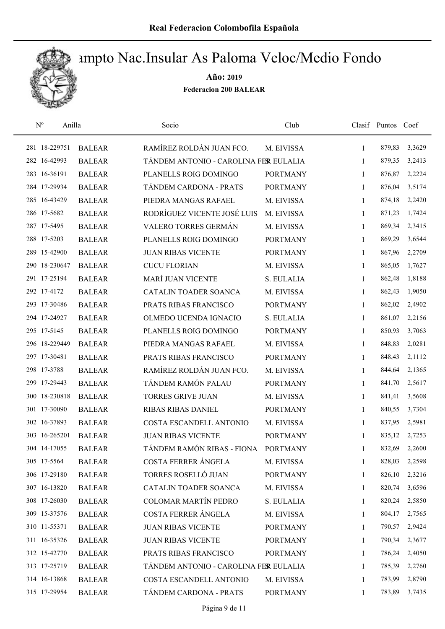

| $N^{\rm o}$<br>Anilla |               | Socio                                 | Club            |              | Clasif Puntos Coef |        |
|-----------------------|---------------|---------------------------------------|-----------------|--------------|--------------------|--------|
| 281 18-229751         | <b>BALEAR</b> | RAMÍREZ ROLDÁN JUAN FCO.              | M. EIVISSA      | $\mathbf{1}$ | 879,83             | 3,3629 |
| 282 16-42993          | <b>BALEAR</b> | TÁNDEM ANTONIO - CAROLINA FER EULALIA |                 | 1            | 879,35             | 3,2413 |
| 283 16-36191          | <b>BALEAR</b> | PLANELLS ROIG DOMINGO                 | <b>PORTMANY</b> | 1            | 876,87             | 2,2224 |
| 284 17-29934          | <b>BALEAR</b> | TÁNDEM CARDONA - PRATS                | <b>PORTMANY</b> | 1            | 876,04             | 3,5174 |
| 285 16-43429          | <b>BALEAR</b> | PIEDRA MANGAS RAFAEL                  | M. EIVISSA      | 1            | 874,18             | 2,2420 |
| 286 17-5682           | <b>BALEAR</b> | RODRÍGUEZ VICENTE JOSÉ LUIS           | M. EIVISSA      | $\mathbf{1}$ | 871,23             | 1,7424 |
| 287 17-5495           | <b>BALEAR</b> | VALERO TORRES GERMÁN                  | M. EIVISSA      | $\mathbf{1}$ | 869,34             | 2,3415 |
| 288 17-5203           | <b>BALEAR</b> | PLANELLS ROIG DOMINGO                 | <b>PORTMANY</b> | 1            | 869,29             | 3,6544 |
| 289 15-42900          | <b>BALEAR</b> | <b>JUAN RIBAS VICENTE</b>             | <b>PORTMANY</b> | 1            | 867,96             | 2,2709 |
| 290 18-230647         | <b>BALEAR</b> | <b>CUCU FLORIAN</b>                   | M. EIVISSA      | 1            | 865,05             | 1,7627 |
| 291 17-25194          | <b>BALEAR</b> | MARÍ JUAN VICENTE                     | S. EULALIA      | 1            | 862,48             | 1,8188 |
| 292 17-4172           | <b>BALEAR</b> | CATALIN TOADER SOANCA                 | M. EIVISSA      | 1            | 862,43             | 1,9050 |
| 293 17-30486          | <b>BALEAR</b> | PRATS RIBAS FRANCISCO                 | <b>PORTMANY</b> | 1            | 862,02             | 2,4902 |
| 294 17-24927          | <b>BALEAR</b> | OLMEDO UCENDA IGNACIO                 | S. EULALIA      | 1            | 861,07             | 2,2156 |
| 295 17-5145           | <b>BALEAR</b> | PLANELLS ROIG DOMINGO                 | <b>PORTMANY</b> | 1            | 850,93             | 3,7063 |
| 296 18-229449         | <b>BALEAR</b> | PIEDRA MANGAS RAFAEL                  | M. EIVISSA      | 1            | 848,83             | 2,0281 |
| 297 17-30481          | <b>BALEAR</b> | PRATS RIBAS FRANCISCO                 | <b>PORTMANY</b> | 1            | 848,43             | 2,1112 |
| 298 17-3788           | <b>BALEAR</b> | RAMÍREZ ROLDÁN JUAN FCO.              | M. EIVISSA      | $\mathbf{1}$ | 844,64             | 2,1365 |
| 299 17-29443          | <b>BALEAR</b> | TÁNDEM RAMÓN PALAU                    | <b>PORTMANY</b> | 1            | 841,70             | 2,5617 |
| 300 18-230818         | <b>BALEAR</b> | <b>TORRES GRIVE JUAN</b>              | M. EIVISSA      | 1            | 841,41             | 3,5608 |
| 301 17-30090          | <b>BALEAR</b> | RIBAS RIBAS DANIEL                    | <b>PORTMANY</b> | 1            | 840,55             | 3,7304 |
| 302 16-37893          | <b>BALEAR</b> | COSTA ESCANDELL ANTONIO               | M. EIVISSA      | 1            | 837,95             | 2,5981 |
| 303 16-265201         | <b>BALEAR</b> | <b>JUAN RIBAS VICENTE</b>             | <b>PORTMANY</b> | 1            | 835,12             | 2,7253 |
| 304 14-17055          | <b>BALEAR</b> | TÁNDEM RAMÓN RIBAS - FIONA            | <b>PORTMANY</b> | 1            | 832,69             | 2,2600 |
| 305 17-5564           | <b>BALEAR</b> | COSTA FERRER ÁNGELA                   | M. EIVISSA      | 1            | 828,03             | 2,2598 |
| 306 17-29180          | <b>BALEAR</b> | TORRES ROSELLÓ JUAN                   | <b>PORTMANY</b> | 1            | 826,10             | 2,3216 |
| 307 16-13820          | <b>BALEAR</b> | CATALIN TOADER SOANCA                 | M. EIVISSA      | 1            | 820,74             | 3,6596 |
| 308 17-26030          | <b>BALEAR</b> | COLOMAR MARTÍN PEDRO                  | S. EULALIA      | 1            | 820,24             | 2,5850 |
| 309 15-37576          | <b>BALEAR</b> | COSTA FERRER ÁNGELA                   | M. EIVISSA      | 1            | 804,17             | 2,7565 |
| 310 11-55371          | <b>BALEAR</b> | <b>JUAN RIBAS VICENTE</b>             | <b>PORTMANY</b> | 1            | 790,57             | 2,9424 |
| 311 16-35326          | <b>BALEAR</b> | <b>JUAN RIBAS VICENTE</b>             | <b>PORTMANY</b> | 1            | 790,34             | 2,3677 |
| 312 15-42770          | <b>BALEAR</b> | PRATS RIBAS FRANCISCO                 | <b>PORTMANY</b> | 1            | 786,24             | 2,4050 |
| 313 17-25719          | <b>BALEAR</b> | TÁNDEM ANTONIO - CAROLINA FER EULALIA |                 | 1            | 785,39             | 2,2760 |
| 314 16-13868          | <b>BALEAR</b> | COSTA ESCANDELL ANTONIO               | M. EIVISSA      | $\mathbf{1}$ | 783,99             | 2,8790 |
| 315 17-29954          | <b>BALEAR</b> | TÁNDEM CARDONA - PRATS                | <b>PORTMANY</b> | $\mathbf{1}$ | 783,89             | 3,7435 |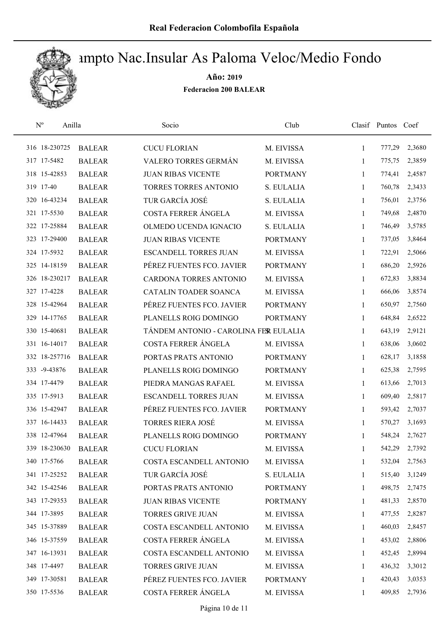

| $\mathrm{N}^{\rm o}$<br>Anilla |               | Socio                                 | Club            |              | Clasif Puntos Coef |        |
|--------------------------------|---------------|---------------------------------------|-----------------|--------------|--------------------|--------|
| 316 18-230725                  | <b>BALEAR</b> | <b>CUCU FLORIAN</b>                   | M. EIVISSA      | 1            | 777,29             | 2,3680 |
| 317 17-5482                    | <b>BALEAR</b> | VALERO TORRES GERMÁN                  | M. EIVISSA      | 1            | 775,75             | 2,3859 |
| 318 15-42853                   | <b>BALEAR</b> | <b>JUAN RIBAS VICENTE</b>             | <b>PORTMANY</b> | $\mathbf{1}$ | 774,41             | 2,4587 |
| 319 17-40                      | <b>BALEAR</b> | <b>TORRES TORRES ANTONIO</b>          | S. EULALIA      | 1            | 760,78             | 2,3433 |
| 320 16-43234                   | <b>BALEAR</b> | TUR GARCÍA JOSÉ                       | S. EULALIA      | 1            | 756,01             | 2,3756 |
| 321 17-5530                    | <b>BALEAR</b> | COSTA FERRER ÁNGELA                   | M. EIVISSA      | 1            | 749,68             | 2,4870 |
| 322 17-25884                   | <b>BALEAR</b> | OLMEDO UCENDA IGNACIO                 | S. EULALIA      | 1            | 746,49             | 3,5785 |
| 323 17-29400                   | <b>BALEAR</b> | <b>JUAN RIBAS VICENTE</b>             | <b>PORTMANY</b> | 1            | 737,05             | 3,8464 |
| 324 17-5932                    | <b>BALEAR</b> | <b>ESCANDELL TORRES JUAN</b>          | M. EIVISSA      | 1            | 722,91             | 2,5066 |
| 325 14-18159                   | <b>BALEAR</b> | PÉREZ FUENTES FCO. JAVIER             | <b>PORTMANY</b> | 1            | 686,20             | 2,5926 |
| 326 18-230217                  | <b>BALEAR</b> | <b>CARDONA TORRES ANTONIO</b>         | M. EIVISSA      | 1            | 672,83             | 3,8834 |
| 327 17-4228                    | <b>BALEAR</b> | CATALIN TOADER SOANCA                 | M. EIVISSA      | 1            | 666,06             | 3,8574 |
| 328 15-42964                   | <b>BALEAR</b> | PÉREZ FUENTES FCO. JAVIER             | <b>PORTMANY</b> | 1            | 650,97             | 2,7560 |
| 329 14-17765                   | <b>BALEAR</b> | PLANELLS ROIG DOMINGO                 | <b>PORTMANY</b> | 1            | 648,84             | 2,6522 |
| 330 15-40681                   | <b>BALEAR</b> | TÁNDEM ANTONIO - CAROLINA FER EULALIA |                 | 1            | 643,19             | 2,9121 |
| 331 16-14017                   | <b>BALEAR</b> | COSTA FERRER ÁNGELA                   | M. EIVISSA      | 1            | 638,06             | 3,0602 |
| 332 18-257716                  | <b>BALEAR</b> | PORTAS PRATS ANTONIO                  | <b>PORTMANY</b> | 1            | 628,17             | 3,1858 |
| 333 -9-43876                   | <b>BALEAR</b> | PLANELLS ROIG DOMINGO                 | <b>PORTMANY</b> | 1            | 625,38             | 2,7595 |
| 334 17-4479                    | <b>BALEAR</b> | PIEDRA MANGAS RAFAEL                  | M. EIVISSA      | 1            | 613,66             | 2,7013 |
| 335 17-5913                    | <b>BALEAR</b> | <b>ESCANDELL TORRES JUAN</b>          | M. EIVISSA      | $\mathbf{1}$ | 609,40             | 2,5817 |
| 336 15-42947                   | <b>BALEAR</b> | PÉREZ FUENTES FCO. JAVIER             | <b>PORTMANY</b> | $\mathbf{1}$ | 593,42             | 2,7037 |
| 337 16-14433                   | <b>BALEAR</b> | <b>TORRES RIERA JOSÉ</b>              | M. EIVISSA      | 1            | 570,27             | 3,1693 |
| 338 12-47964                   | <b>BALEAR</b> | PLANELLS ROIG DOMINGO                 | <b>PORTMANY</b> | 1            | 548,24             | 2,7627 |
| 339 18-230630                  | <b>BALEAR</b> | <b>CUCU FLORIAN</b>                   | M. EIVISSA      | 1            | 542,29             | 2,7392 |
| 340 17-5766                    | <b>BALEAR</b> | COSTA ESCANDELL ANTONIO               | M. EIVISSA      | 1            | 532,04             | 2,7563 |
| 341 17-25252                   | <b>BALEAR</b> | TUR GARCÍA JOSÉ                       | S. EULALIA      | 1            | 515,40             | 3,1249 |
| 342 15-42546                   | <b>BALEAR</b> | PORTAS PRATS ANTONIO                  | <b>PORTMANY</b> | 1            | 498,75             | 2,7475 |
| 343 17-29353                   | <b>BALEAR</b> | <b>JUAN RIBAS VICENTE</b>             | <b>PORTMANY</b> | 1            | 481,33             | 2,8570 |
| 344 17-3895                    | <b>BALEAR</b> | <b>TORRES GRIVE JUAN</b>              | M. EIVISSA      | 1            | 477,55             | 2,8287 |
| 345 15-37889                   | <b>BALEAR</b> | COSTA ESCANDELL ANTONIO               | M. EIVISSA      | 1            | 460,03             | 2,8457 |
| 346 15-37559                   | <b>BALEAR</b> | COSTA FERRER ÁNGELA                   | M. EIVISSA      | 1            | 453,02             | 2,8806 |
| 347 16-13931                   | <b>BALEAR</b> | COSTA ESCANDELL ANTONIO               | M. EIVISSA      | 1            | 452,45             | 2,8994 |
| 348 17-4497                    | <b>BALEAR</b> | <b>TORRES GRIVE JUAN</b>              | M. EIVISSA      | 1            | 436,32             | 3,3012 |
| 349 17-30581                   | <b>BALEAR</b> | PÉREZ FUENTES FCO. JAVIER             | <b>PORTMANY</b> | 1            | 420,43             | 3,0353 |
| 350 17-5536                    | <b>BALEAR</b> | COSTA FERRER ÁNGELA                   | M. EIVISSA      | 1            | 409,85             | 2,7936 |